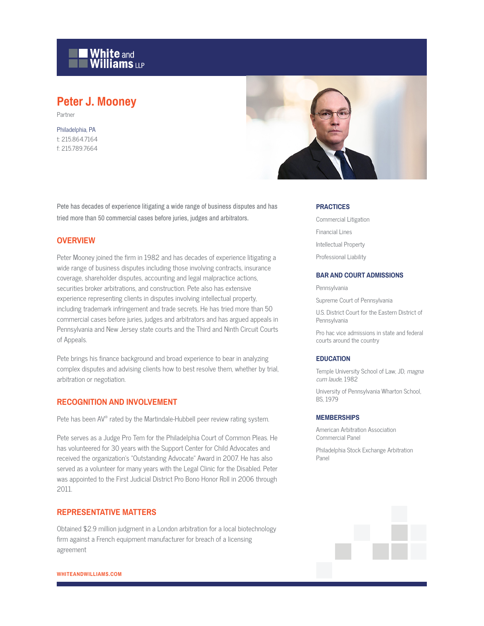

# **Peter J. Mooney**

Partner

Philadelphia, PA t: 215.864.7164 f: 215.789.7664



Pete has decades of experience litigating a wide range of business disputes and has tried more than 50 commercial cases before juries, judges and arbitrators.

## **OVERVIEW**

Peter Mooney joined the firm in 1982 and has decades of experience litigating a wide range of business disputes including those involving contracts, insurance coverage, shareholder disputes, accounting and legal malpractice actions, securities broker arbitrations, and construction. Pete also has extensive experience representing clients in disputes involving intellectual property, including trademark infringement and trade secrets. He has tried more than 50 commercial cases before juries, judges and arbitrators and has argued appeals in Pennsylvania and New Jersey state courts and the Third and Ninth Circuit Courts of Appeals.

Pete brings his finance background and broad experience to bear in analyzing complex disputes and advising clients how to best resolve them, whether by trial, arbitration or negotiation.

## **RECOGNITION AND INVOLVEMENT**

Pete has been AV® rated by the Martindale-Hubbell peer review rating system.

Pete serves as a Judge Pro Tem for the Philadelphia Court of Common Pleas. He has volunteered for 30 years with the Support Center for Child Advocates and received the organization's "Outstanding Advocate" Award in 2007. He has also served as a volunteer for many years with the Legal Clinic for the Disabled. Peter was appointed to the First Judicial District Pro Bono Honor Roll in 2006 through 2011.

### **REPRESENTATIVE MATTERS**

Obtained \$2.9 million judgment in a London arbitration for a local biotechnology firm against a French equipment manufacturer for breach of a licensing agreement

#### **PRACTICES**

Commercial Litigation Financial Lines Intellectual Property Professional Liability

#### **BAR AND COURT ADMISSIONS**

Pennsylvania

Supreme Court of Pennsylvania

U.S. District Court for the Eastern District of Pennsylvania

Pro hac vice admissions in state and federal courts around the country

#### **EDUCATION**

Temple University School of Law, JD, magna cum laude, 1982

University of Pennsylvania Wharton School, BS, 1979

#### **MEMBERSHIPS**

American Arbitration Association Commercial Panel

Philadelphia Stock Exchange Arbitration Panel

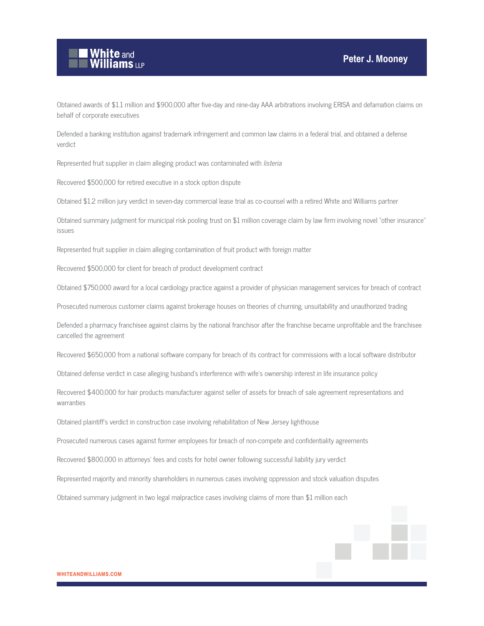

Obtained awards of \$1.1 million and \$900,000 after five-day and nine-day AAA arbitrations involving ERISA and defamation claims on behalf of corporate executives

Defended a banking institution against trademark infringement and common law claims in a federal trial, and obtained a defense verdict

Represented fruit supplier in claim alleging product was contaminated with listeria

Recovered \$500,000 for retired executive in a stock option dispute

Obtained \$1.2 million jury verdict in seven-day commercial lease trial as co-counsel with a retired White and Williams partner

Obtained summary judgment for municipal risk pooling trust on \$1 million coverage claim by law firm involving novel "other insurance" issues

Represented fruit supplier in claim alleging contamination of fruit product with foreign matter

Recovered \$500,000 for client for breach of product development contract

Obtained \$750,000 award for a local cardiology practice against a provider of physician management services for breach of contract

Prosecuted numerous customer claims against brokerage houses on theories of churning, unsuitability and unauthorized trading

Defended a pharmacy franchisee against claims by the national franchisor after the franchise became unprofitable and the franchisee cancelled the agreement

Recovered \$650,000 from a national software company for breach of its contract for commissions with a local software distributor

Obtained defense verdict in case alleging husband's interference with wife's ownership interest in life insurance policy

Recovered \$400,000 for hair products manufacturer against seller of assets for breach of sale agreement representations and warranties

Obtained plaintiff's verdict in construction case involving rehabilitation of New Jersey lighthouse

Prosecuted numerous cases against former employees for breach of non-compete and confidentiality agreements

Recovered \$800,000 in attorneys' fees and costs for hotel owner following successful liability jury verdict

Represented majority and minority shareholders in numerous cases involving oppression and stock valuation disputes

Obtained summary judgment in two legal malpractice cases involving claims of more than \$1 million each